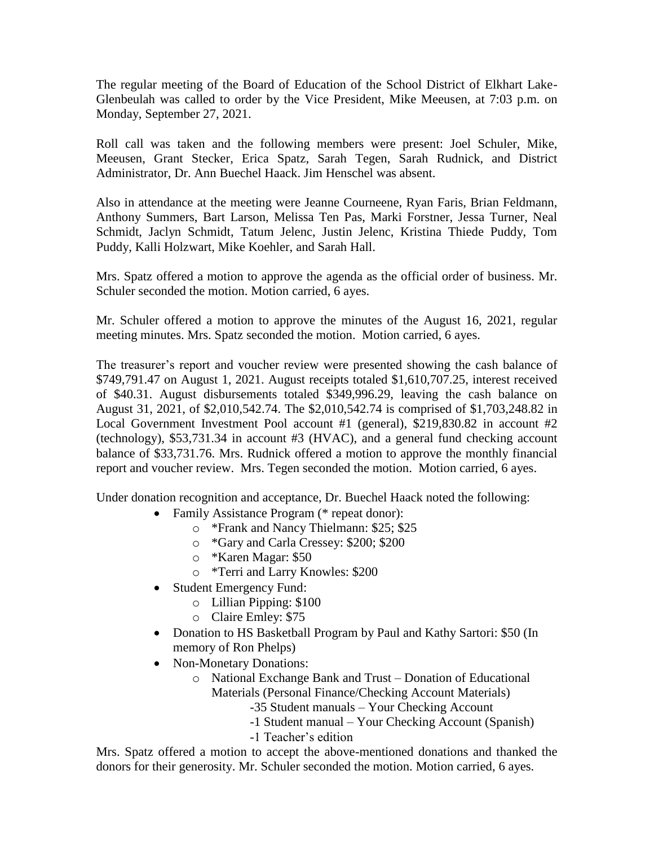The regular meeting of the Board of Education of the School District of Elkhart Lake-Glenbeulah was called to order by the Vice President, Mike Meeusen, at 7:03 p.m. on Monday, September 27, 2021.

Roll call was taken and the following members were present: Joel Schuler, Mike, Meeusen, Grant Stecker, Erica Spatz, Sarah Tegen, Sarah Rudnick, and District Administrator, Dr. Ann Buechel Haack. Jim Henschel was absent.

Also in attendance at the meeting were Jeanne Courneene, Ryan Faris, Brian Feldmann, Anthony Summers, Bart Larson, Melissa Ten Pas, Marki Forstner, Jessa Turner, Neal Schmidt, Jaclyn Schmidt, Tatum Jelenc, Justin Jelenc, Kristina Thiede Puddy, Tom Puddy, Kalli Holzwart, Mike Koehler, and Sarah Hall.

Mrs. Spatz offered a motion to approve the agenda as the official order of business. Mr. Schuler seconded the motion. Motion carried, 6 ayes.

Mr. Schuler offered a motion to approve the minutes of the August 16, 2021, regular meeting minutes. Mrs. Spatz seconded the motion. Motion carried, 6 ayes.

The treasurer's report and voucher review were presented showing the cash balance of \$749,791.47 on August 1, 2021. August receipts totaled \$1,610,707.25, interest received of \$40.31. August disbursements totaled \$349,996.29, leaving the cash balance on August 31, 2021, of \$2,010,542.74. The \$2,010,542.74 is comprised of \$1,703,248.82 in Local Government Investment Pool account #1 (general), \$219,830.82 in account #2 (technology), \$53,731.34 in account #3 (HVAC), and a general fund checking account balance of \$33,731.76. Mrs. Rudnick offered a motion to approve the monthly financial report and voucher review. Mrs. Tegen seconded the motion. Motion carried, 6 ayes.

Under donation recognition and acceptance, Dr. Buechel Haack noted the following:

- Family Assistance Program (\* repeat donor):
	- o \*Frank and Nancy Thielmann: \$25; \$25
	- o \*Gary and Carla Cressey: \$200; \$200
	- o \*Karen Magar: \$50
	- o \*Terri and Larry Knowles: \$200
- Student Emergency Fund:
	- o Lillian Pipping: \$100
	- o Claire Emley: \$75
- Donation to HS Basketball Program by Paul and Kathy Sartori: \$50 (In memory of Ron Phelps)
- Non-Monetary Donations:
	- o National Exchange Bank and Trust Donation of Educational Materials (Personal Finance/Checking Account Materials)
		- -35 Student manuals Your Checking Account
		- -1 Student manual Your Checking Account (Spanish)
		- -1 Teacher's edition

Mrs. Spatz offered a motion to accept the above-mentioned donations and thanked the donors for their generosity. Mr. Schuler seconded the motion. Motion carried, 6 ayes.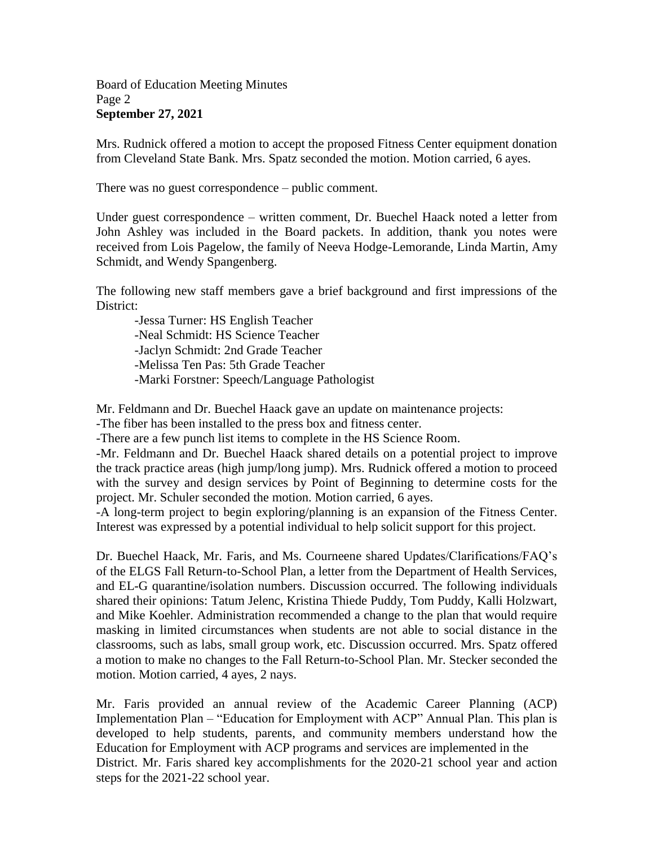## Board of Education Meeting Minutes Page 2 **September 27, 2021**

Mrs. Rudnick offered a motion to accept the proposed Fitness Center equipment donation from Cleveland State Bank. Mrs. Spatz seconded the motion. Motion carried, 6 ayes.

There was no guest correspondence – public comment.

Under guest correspondence – written comment, Dr. Buechel Haack noted a letter from John Ashley was included in the Board packets. In addition, thank you notes were received from Lois Pagelow, the family of Neeva Hodge-Lemorande, Linda Martin, Amy Schmidt, and Wendy Spangenberg.

The following new staff members gave a brief background and first impressions of the District:

-Jessa Turner: HS English Teacher -Neal Schmidt: HS Science Teacher -Jaclyn Schmidt: 2nd Grade Teacher -Melissa Ten Pas: 5th Grade Teacher -Marki Forstner: Speech/Language Pathologist

Mr. Feldmann and Dr. Buechel Haack gave an update on maintenance projects:

-The fiber has been installed to the press box and fitness center.

-There are a few punch list items to complete in the HS Science Room.

-Mr. Feldmann and Dr. Buechel Haack shared details on a potential project to improve the track practice areas (high jump/long jump). Mrs. Rudnick offered a motion to proceed with the survey and design services by Point of Beginning to determine costs for the project. Mr. Schuler seconded the motion. Motion carried, 6 ayes.

-A long-term project to begin exploring/planning is an expansion of the Fitness Center. Interest was expressed by a potential individual to help solicit support for this project.

Dr. Buechel Haack, Mr. Faris, and Ms. Courneene shared Updates/Clarifications/FAQ's of the ELGS Fall Return-to-School Plan, a letter from the Department of Health Services, and EL-G quarantine/isolation numbers. Discussion occurred. The following individuals shared their opinions: Tatum Jelenc, Kristina Thiede Puddy, Tom Puddy, Kalli Holzwart, and Mike Koehler. Administration recommended a change to the plan that would require masking in limited circumstances when students are not able to social distance in the classrooms, such as labs, small group work, etc. Discussion occurred. Mrs. Spatz offered a motion to make no changes to the Fall Return-to-School Plan. Mr. Stecker seconded the motion. Motion carried, 4 ayes, 2 nays.

Mr. Faris provided an annual review of the Academic Career Planning (ACP) Implementation Plan – "Education for Employment with ACP" Annual Plan. This plan is developed to help students, parents, and community members understand how the Education for Employment with ACP programs and services are implemented in the District. Mr. Faris shared key accomplishments for the 2020-21 school year and action steps for the 2021-22 school year.